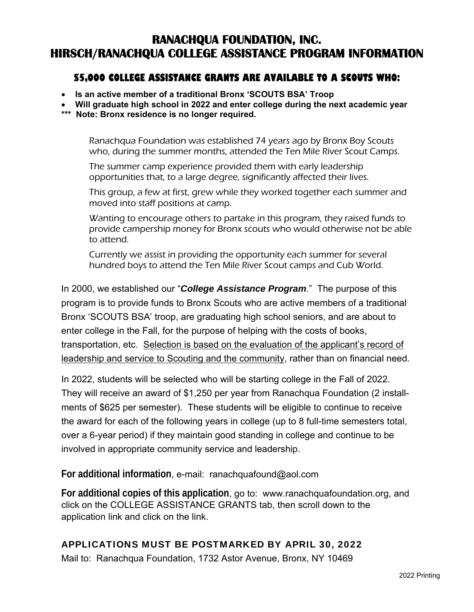# **RANACHQUA FOUNDATION, INC. HIRSCH/RANACHQUA COLLEGE ASSISTANCE PROGRAM INFORMATION**

## **\$5,000 COLLEGE ASSISTANCE GRANTS ARE AVAILABLE TO A SCOUTS WHO:**

- **Is an active member of a traditional Bronx 'SCOUTS BSA' Troop**
- **Will graduate high school in 2022 and enter college during the next academic year**
- **\*\*\* Note: Bronx residence is no longer required.**

Ranachqua Foundation was established 74 years ago by Bronx Boy Scouts who, during the summer months, attended the Ten Mile River Scout Camps.

The summer camp experience provided them with early leadership opportunities that, to a large degree, significantly affected their lives.

This group, a few at first, grew while they worked together each summer and moved into staff positions at camp.

Wanting to encourage others to partake in this program, they raised funds to provide campership money for Bronx scouts who would otherwise not be able to attend.

Currently we assist in providing the opportunity each summer for several hundred boys to attend the Ten Mile River Scout camps and Cub World.

In 2000, we established our "*College Assistance Program*." The purpose of this program is to provide funds to Bronx Scouts who are active members of a traditional Bronx 'SCOUTS BSA' troop, are graduating high school seniors, and are about to enter college in the Fall, for the purpose of helping with the costs of books, transportation, etc. Selection is based on the evaluation of the applicant's record of leadership and service to Scouting and the community, rather than on financial need.

In 2022, students will be selected who will be starting college in the Fall of 2022. They will receive an award of \$1,250 per year from Ranachqua Foundation (2 installments of \$625 per semester). These students will be eligible to continue to receive the award for each of the following years in college (up to 8 full-time semesters total, over a 6-year period) if they maintain good standing in college and continue to be involved in appropriate community service and leadership.

**For additional information**, e-mail: ranachquafound@aol.com

**For additional copies of this application**, go to: www.ranachquafoundation.org, and click on the COLLEGE ASSISTANCE GRANTS tab, then scroll down to the application link and click on the link.

## APPLICATIONS MUST BE POSTMARKED BY APRIL 30, 2022

Mail to: Ranachqua Foundation, 1732 Astor Avenue, Bronx, NY 10469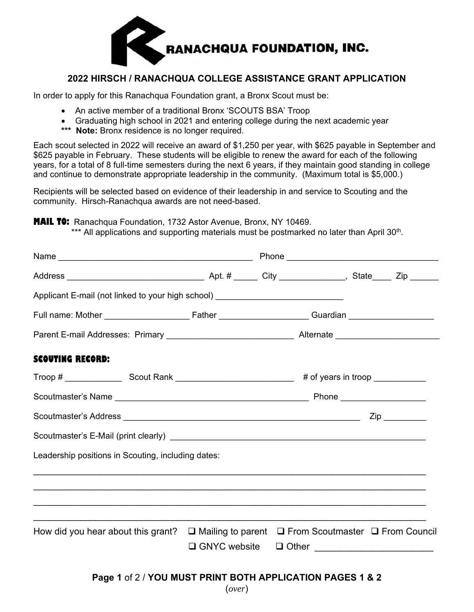

### **2022 HIRSCH / RANACHQUA COLLEGE ASSISTANCE GRANT APPLICATION**

In order to apply for this Ranachqua Foundation grant, a Bronx Scout must be:

- An active member of a traditional Bronx 'SCOUTS BSA' Troop
- Graduating high school in 2021 and entering college during the next academic year
- \*\*\* Note: Bronx residence is no longer required.

Each scout selected in 2022 will receive an award of \$1,250 per year, with \$625 payable in September and \$625 payable in February. These students will be eligible to renew the award for each of the following years, for a total of 8 full-time semesters during the next 6 years, if they maintain good standing in college and continue to demonstrate appropriate leadership in the community. (Maximum total is \$5,000.)

Recipients will be selected based on evidence of their leadership in and service to Scouting and the community. Hirsch-Ranachqua awards are not need-based.

**MAIL TO:** Ranachqua Foundation, 1732 Astor Avenue, Bronx, NY 10469.

\*\*\* All applications and supporting materials must be postmarked no later than April 30<sup>th</sup>.

| Applicant E-mail (not linked to your high school) ______________________________                                 |                                                                                   |  |  |  |
|------------------------------------------------------------------------------------------------------------------|-----------------------------------------------------------------------------------|--|--|--|
|                                                                                                                  |                                                                                   |  |  |  |
|                                                                                                                  |                                                                                   |  |  |  |
| <b>SCOUTING RECORD:</b>                                                                                          |                                                                                   |  |  |  |
|                                                                                                                  |                                                                                   |  |  |  |
|                                                                                                                  |                                                                                   |  |  |  |
|                                                                                                                  |                                                                                   |  |  |  |
|                                                                                                                  |                                                                                   |  |  |  |
| Leadership positions in Scouting, including dates:                                                               |                                                                                   |  |  |  |
|                                                                                                                  | ,一个人的人都是一个人的人,我们就是一个人的人,我们就是一个人的人,我们就是一个人的人,我们就是一个人的人,我们就是一个人的人,我们就是一个人的人,我们就是一个人 |  |  |  |
|                                                                                                                  |                                                                                   |  |  |  |
| How did you hear about this grant? $\square$ Mailing to parent $\square$ From Scoutmaster $\square$ From Council |                                                                                   |  |  |  |
|                                                                                                                  |                                                                                   |  |  |  |
|                                                                                                                  | Page 1 of 2 / YOU MUST PRINT BOTH APPLICATION PAGES 1 & 2                         |  |  |  |